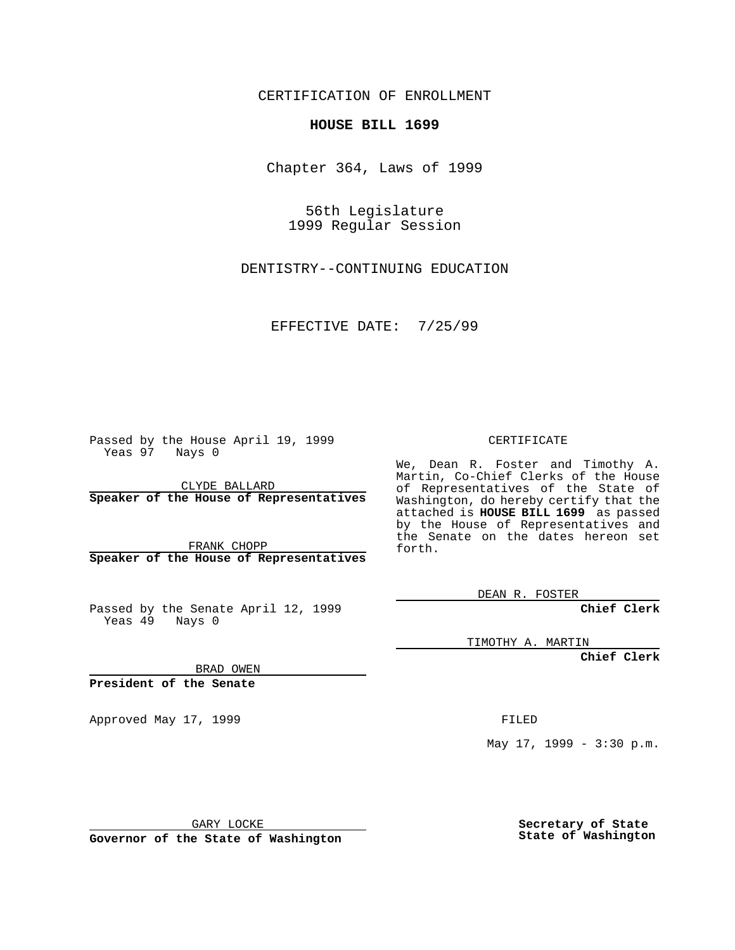CERTIFICATION OF ENROLLMENT

## **HOUSE BILL 1699**

Chapter 364, Laws of 1999

56th Legislature 1999 Regular Session

DENTISTRY--CONTINUING EDUCATION

EFFECTIVE DATE: 7/25/99

Passed by the House April 19, 1999 Yeas 97 Nays 0

CLYDE BALLARD **Speaker of the House of Representatives**

FRANK CHOPP **Speaker of the House of Representatives**

Passed by the Senate April 12, 1999 Yeas 49 Nays 0

CERTIFICATE

We, Dean R. Foster and Timothy A. Martin, Co-Chief Clerks of the House of Representatives of the State of Washington, do hereby certify that the attached is **HOUSE BILL 1699** as passed by the House of Representatives and the Senate on the dates hereon set forth.

DEAN R. FOSTER

**Chief Clerk**

TIMOTHY A. MARTIN

**Chief Clerk**

BRAD OWEN

**President of the Senate**

Approved May 17, 1999 **FILED** 

May 17, 1999 - 3:30 p.m.

GARY LOCKE

**Governor of the State of Washington**

**Secretary of State State of Washington**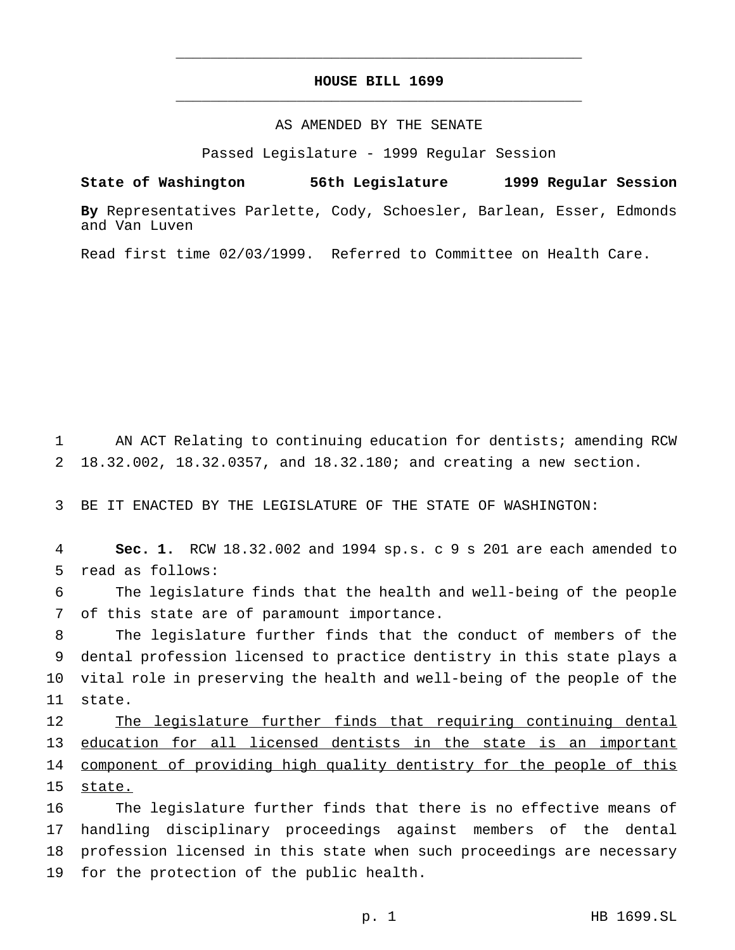## **HOUSE BILL 1699** \_\_\_\_\_\_\_\_\_\_\_\_\_\_\_\_\_\_\_\_\_\_\_\_\_\_\_\_\_\_\_\_\_\_\_\_\_\_\_\_\_\_\_\_\_\_\_

\_\_\_\_\_\_\_\_\_\_\_\_\_\_\_\_\_\_\_\_\_\_\_\_\_\_\_\_\_\_\_\_\_\_\_\_\_\_\_\_\_\_\_\_\_\_\_

## AS AMENDED BY THE SENATE

Passed Legislature - 1999 Regular Session

**State of Washington 56th Legislature 1999 Regular Session**

**By** Representatives Parlette, Cody, Schoesler, Barlean, Esser, Edmonds and Van Luven

Read first time 02/03/1999. Referred to Committee on Health Care.

 AN ACT Relating to continuing education for dentists; amending RCW 18.32.002, 18.32.0357, and 18.32.180; and creating a new section.

BE IT ENACTED BY THE LEGISLATURE OF THE STATE OF WASHINGTON:

 **Sec. 1.** RCW 18.32.002 and 1994 sp.s. c 9 s 201 are each amended to read as follows:

 The legislature finds that the health and well-being of the people of this state are of paramount importance.

 The legislature further finds that the conduct of members of the dental profession licensed to practice dentistry in this state plays a vital role in preserving the health and well-being of the people of the state.

 The legislature further finds that requiring continuing dental education for all licensed dentists in the state is an important 14 component of providing high quality dentistry for the people of this state.

 The legislature further finds that there is no effective means of handling disciplinary proceedings against members of the dental profession licensed in this state when such proceedings are necessary for the protection of the public health.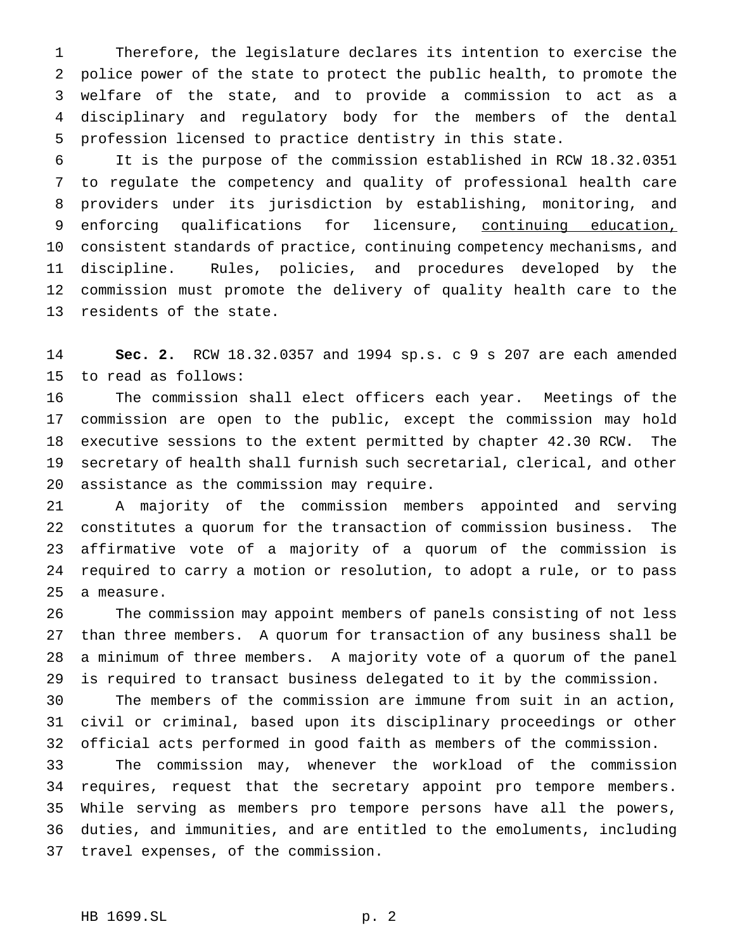Therefore, the legislature declares its intention to exercise the police power of the state to protect the public health, to promote the welfare of the state, and to provide a commission to act as a disciplinary and regulatory body for the members of the dental profession licensed to practice dentistry in this state.

 It is the purpose of the commission established in RCW 18.32.0351 to regulate the competency and quality of professional health care providers under its jurisdiction by establishing, monitoring, and enforcing qualifications for licensure, continuing education, consistent standards of practice, continuing competency mechanisms, and discipline. Rules, policies, and procedures developed by the commission must promote the delivery of quality health care to the residents of the state.

 **Sec. 2.** RCW 18.32.0357 and 1994 sp.s. c 9 s 207 are each amended to read as follows:

 The commission shall elect officers each year. Meetings of the commission are open to the public, except the commission may hold executive sessions to the extent permitted by chapter 42.30 RCW. The secretary of health shall furnish such secretarial, clerical, and other assistance as the commission may require.

 A majority of the commission members appointed and serving constitutes a quorum for the transaction of commission business. The affirmative vote of a majority of a quorum of the commission is required to carry a motion or resolution, to adopt a rule, or to pass a measure.

 The commission may appoint members of panels consisting of not less than three members. A quorum for transaction of any business shall be a minimum of three members. A majority vote of a quorum of the panel is required to transact business delegated to it by the commission.

 The members of the commission are immune from suit in an action, civil or criminal, based upon its disciplinary proceedings or other official acts performed in good faith as members of the commission.

 The commission may, whenever the workload of the commission requires, request that the secretary appoint pro tempore members. While serving as members pro tempore persons have all the powers, duties, and immunities, and are entitled to the emoluments, including travel expenses, of the commission.